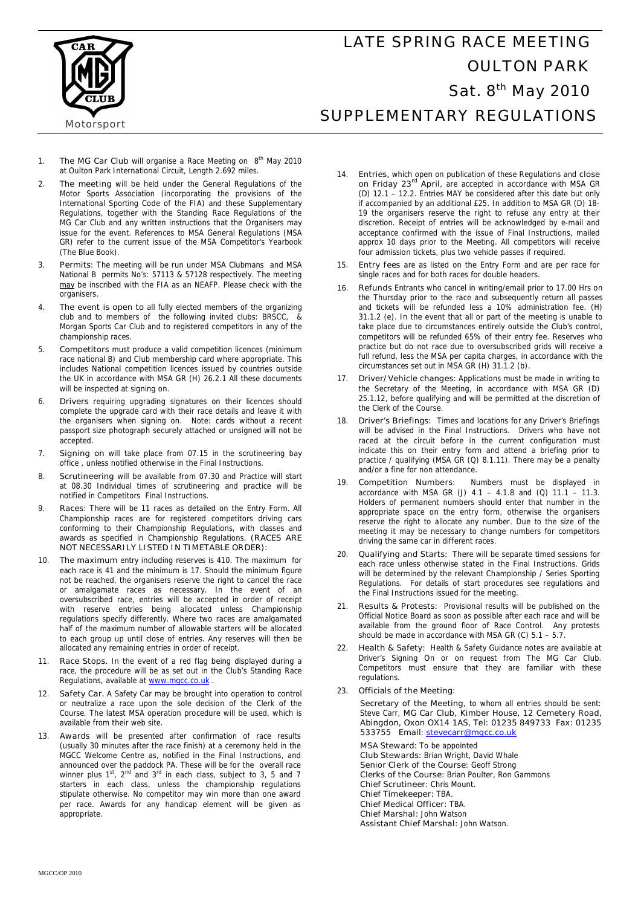

## LATE SPRING RACE MEETING OULTON PARK Sat. 8<sup>th</sup> May 2010 SUPPLEMENTARY REGULATIONS

**Motorsport** 

- 1. **The MG Car Club** will organise a Race Meeting on 8<sup>th</sup> May 2010 at Oulton Park International Circuit, Length 2.692 miles.
- 2. **The meeting** will be held under the General Regulations of the Motor Sports Association (incorporating the provisions of the International Sporting Code of the FIA) and these Supplementary Regulations, together with the Standing Race Regulations of the MG Car Club and any written instructions that the Organisers may issue for the event. References to MSA General Regulations (MSA GR) refer to the current issue of the MSA Competitor's Yearbook (The Blue Book).
- 3. **Permits**: The meeting will be run under MSA Clubmans and MSA National B permits No's: 57113 & 57128 respectively. The meeting may be inscribed with the FIA as an NEAFP. Please check with the organisers.
- 4. **The event is open to** all fully elected members of the organizing club and to members of the following invited clubs: BRSCC, & Morgan Sports Car Club and to registered competitors in any of the championship races.
- 5. **Competitors** must produce a valid competition licences (minimum race national B) and Club membership card where appropriate. This includes National competition licences issued by countries outside the UK in accordance with MSA GR (H) 26.2.1 All these documents will be inspected at signing on.
- 6. **Drivers** requiring upgrading signatures on their licences should complete the upgrade card with their race details and leave it with the organisers when signing on. Note: cards without a recent passport size photograph securely attached or unsigned will not be accepted.
- 7. **Signing on** will take place from 07.15 in the scrutineering bay office , unless notified otherwise in the Final Instructions.
- 8. **Scrutineering** will be available from 07.30 and Practice will start at 08.30 Individual times of scrutineering and practice will be notified in Competitors Final Instructions.
- 9. **Races:** There will be 11 races as detailed on the Entry Form. All Championship races are for registered competitors driving cars conforming to their Championship Regulations, with classes and awards as specified in Championship Regulations. **(RACES ARE NOT NECESSARILY LISTED IN TIMETABLE ORDER):**
- 10. **The maximum** entry including reserves is 410. The maximum for each race is 41 and the minimum is 17. Should the minimum figure not be reached, the organisers reserve the right to cancel the race or amalgamate races as necessary. In the event of an oversubscribed race, entries will be accepted in order of receipt with reserve entries being allocated unless Championship regulations specify differently. Where two races are amalgamated half of the maximum number of allowable starters will be allocated to each group up until close of entries. Any reserves will then be allocated any remaining entries in order of receipt.
- Race Stops. In the event of a red flag being displayed during a race, the procedure will be as set out in the Club's Standing Race Regulations, available at www.mgcc.co.uk
- 12. **Safety Car.** A Safety Car may be brought into operation to control or neutralize a race upon the sole decision of the Clerk of the Course. The latest MSA operation procedure will be used, which is available from their web site.
- 13. **Awards** will be presented after confirmation of race results (usually 30 minutes after the race finish) at a ceremony held in the MGCC Welcome Centre as, notified in the Final Instructions, and announced over the paddock PA. These will be for the overall race winner plus  $1^{\text{st}}$ ,  $2^{\text{nd}}$  and  $3^{\text{rd}}$  in each class, subject to 3, 5 and 7 starters in each class, unless the championship regulations stipulate otherwise. No competitor may win more than one award per race. Awards for any handicap element will be given as appropriate.
- 14. **Entries,** which open on publication of these Regulations and **close on Friday 23rd April**, are accepted in accordance with MSA GR (D) 12.1 – 12.2. Entries MAY be considered after this date but only if accompanied by an additional £25. In addition to MSA GR (D) 18- 19 the organisers reserve the right to refuse any entry at their discretion. Receipt of entries will be acknowledged by e-mail and acceptance confirmed with the issue of Final Instructions, mailed approx 10 days prior to the Meeting. All competitors will receive four admission tickets, plus two vehicle passes if required.
- 15. **Entry fees** are as listed on the Entry Form and are per race for single races and for both races for double headers.
- 16. **Refunds** Entrants who cancel in writing/email prior to 17.00 Hrs on the Thursday prior to the race and subsequently return all passes and tickets will be refunded less a 10% administration fee. (H) 31.1.2 (e). In the event that all or part of the meeting is unable to take place due to circumstances entirely outside the Club's control, competitors will be refunded 65% of their entry fee. Reserves who practice but do not race due to oversubscribed grids will receive a full refund, less the MSA per capita charges, in accordance with the circumstances set out in MSA GR (H) 31.1.2 (b).
- 17. **Driver/Vehicle changes:** Applications must be made in writing to the Secretary of the Meeting, in accordance with MSA GR (D) 25.1.12, before qualifying and will be permitted at the discretion of the Clerk of the Course.
- 18. **Driver's Briefings:** Times and locations for any Driver's Briefings will be advised in the Final Instructions. Drivers who have not raced at the circuit before in the current configuration must indicate this on their entry form and attend a briefing prior to practice / qualifying (MSA GR (Q) 8.1.11). There may be a penalty and/or a fine for non attendance.
- 19. **Competition Numbers:** Numbers must be displayed in accordance with MSA GR (J)  $4.1 - 4.1.8$  and (Q)  $11.1 - 11.3$ . Holders of permanent numbers should enter that number in the appropriate space on the entry form, otherwise the organisers reserve the right to allocate any number. Due to the size of the meeting it may be necessary to change numbers for competitors driving the same car in different races.
- 20. **Qualifying and Starts:** There will be separate timed sessions for each race unless otherwise stated in the Final Instructions. Grids will be determined by the relevant Championship / Series Sporting Regulations. For details of start procedures see regulations and the Final Instructions issued for the meeting.
- 21. **Results & Protests:** Provisional results will be published on the Official Notice Board as soon as possible after each race and will be available from the ground floor of Race Control. Any protests should be made in accordance with MSA GR (C) 5.1 – 5.7.
- 22. **Health & Safety:** Health & Safety Guidance notes are available at Driver's Signing On or on request from The MG Car Club. Competitors must ensure that they are familiar with these regulations.
- 23. **Officials of the Meeting:**

 **Secretary of the Meeting**, to whom all entries should be sent: Steve Carr, **MG Car Club, Kimber House, 12 Cemetery Road, Abingdon, Oxon OX14 1AS, Tel: 01235 849733 Fax: 01235 533755 Email: stevecarr@mgcc.co.uk**

**MSA Steward:** To be appointed **Club Stewards:** Brian Wright, David Whale **Senior Clerk of the Course**: Geoff Strong **Clerks of the Course:** Brian Poulter, Ron Gammons **Chief Scrutineer:** Chris Mount. **Chief Timekeeper:** TBA. **Chief Medical Officer:** TBA. **Chief Marshal:** John Watson **Assistant Chief Marshal:** John Watson.